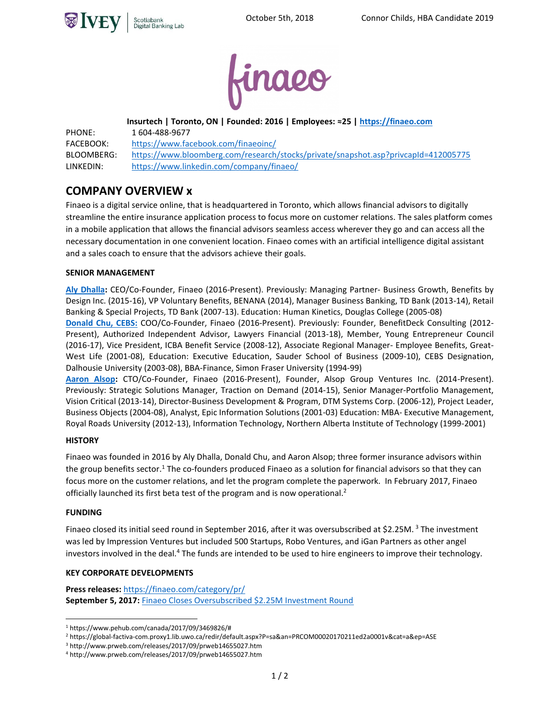



**Insurtech | Toronto, ON | Founded: 2016 | Employees: ≈25 | https://finaeo.com**

PHONE: 1 604-488-9677 FACEBOOK: https://www.facebook.com/finaeoinc/ BLOOMBERG: https://www.bloomberg.com/research/stocks/private/snapshot.asp?privcapId=412005775 LINKEDIN: https://www.linkedin.com/company/finaeo/

# **COMPANY OVERVIEW x**

Finaeo is a digital service online, that is headquartered in Toronto, which allows financial advisors to digitally streamline the entire insurance application process to focus more on customer relations. The sales platform comes in a mobile application that allows the financial advisors seamless access wherever they go and can access all the necessary documentation in one convenient location. Finaeo comes with an artificial intelligence digital assistant and a sales coach to ensure that the advisors achieve their goals.

## **SENIOR MANAGEMENT**

**[Aly Dhalla:](https://www.linkedin.com/in/alydhalla/?ppe=1)** CEO/Co-Founder, Finaeo (2016-Present). Previously: Managing Partner- Business Growth, Benefits by Design Inc. (2015-16), VP Voluntary Benefits, BENANA (2014), Manager Business Banking, TD Bank (2013-14), Retail Banking & Special Projects, TD Bank (2007-13). Education: Human Kinetics, Douglas College (2005-08)

**[Donald Chu, CEBS:](https://www.linkedin.com/in/donaldchu/)** COO/Co-Founder, Finaeo (2016-Present). Previously: Founder, BenefitDeck Consulting (2012- Present), Authorized Independent Advisor, Lawyers Financial (2013-18), Member, Young Entrepreneur Council (2016-17), Vice President, ICBA Benefit Service (2008-12), Associate Regional Manager- Employee Benefits, Great-West Life (2001-08), Education: Executive Education, Sauder School of Business (2009-10), CEBS Designation, Dalhousie University (2003-08), BBA-Finance, Simon Fraser University (1994-99)

**[Aaron Alsop:](https://www.linkedin.com/in/aaronalsop/)** CTO/Co-Founder, Finaeo (2016-Present), Founder, Alsop Group Ventures Inc. (2014-Present). Previously: Strategic Solutions Manager, Traction on Demand (2014-15), Senior Manager-Portfolio Management, Vision Critical (2013-14), Director-Business Development & Program, DTM Systems Corp. (2006-12), Project Leader, Business Objects (2004-08), Analyst, Epic Information Solutions (2001-03) Education: MBA- Executive Management, Royal Roads University (2012-13), Information Technology, Northern Alberta Institute of Technology (1999-2001)

## **HISTORY**

Finaeo was founded in 2016 by Aly Dhalla, Donald Chu, and Aaron Alsop; three former insurance advisors within the group benefits sector.<sup>1</sup> The co-founders produced Finaeo as a solution for financial advisors so that they can focus more on the customer relations, and let the program complete the paperwork. In February 2017, Finaeo officially launched its first beta test of the program and is now operational.<sup>2</sup>

## **FUNDING**

 $\overline{a}$ 

Finaeo closed its initial seed round in September 2016, after it was oversubscribed at \$2.25M.<sup>3</sup> The investment was led by Impression Ventures but included 500 Startups, Robo Ventures, and iGan Partners as other angel investors involved in the deal.<sup>4</sup> The funds are intended to be used to hire engineers to improve their technology.

## **KEY CORPORATE DEVELOPMENTS**

**Press releases:** <https://finaeo.com/category/pr/> **September 5, 2017:** [Finaeo Closes Oversubscribed \\$2.25M Investment Round](https://www.prweb.com/releases/2017/09/prweb14655027.htm)

<sup>1</sup> https://www.pehub.com/canada/2017/09/3469826/#

<sup>2</sup> https://global-factiva-com.proxy1.lib.uwo.ca/redir/default.aspx?P=sa&an=PRCOM00020170211ed2a0001v&cat=a&ep=ASE

<sup>3</sup> http://www.prweb.com/releases/2017/09/prweb14655027.htm

<sup>4</sup> http://www.prweb.com/releases/2017/09/prweb14655027.htm